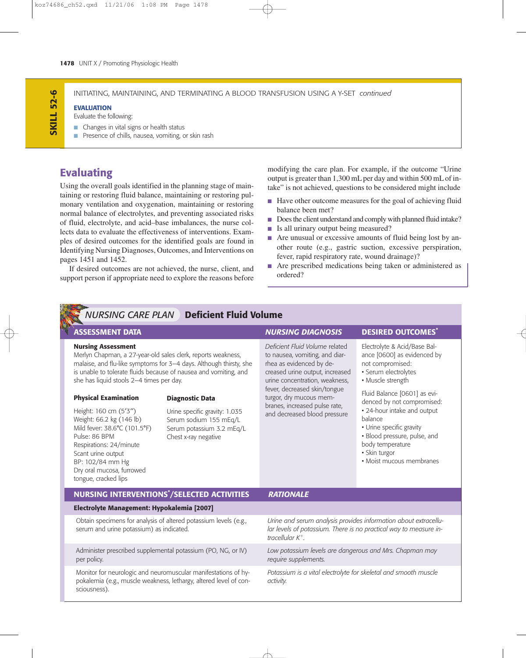# *NURSING CARE PLAN* **Deficient Fluid Volume**

#### **Nursing Assessment**

Merlyn Chapman, a 27-year-old sales clerk, reports weakness, malaise, and flu-like symptoms for 3–4 days. Although thirsty, she is unable to tolerate fluids because of nausea and vomiting, and she has liquid stools 2–4 times per day.

### **Physical Examination**

### **Diagnostic Data**

Height: 160 cm (5′3′′) Weight: 66.2 kg (146 lb) Mild fever: 38.6°C (101.5°F) Pulse: 86 BPM Respirations: 24/minute Scant urine output BP: 102/84 mm Hg Dry oral mucosa, furrowed

Urine specific gravity: 1.035 Serum sodium 155 mEq/L Serum potassium 3.2 mEq/L Chest x-ray negative

## **ASSESSMENT DATA** *NURSING DIAGNOSIS* **DESIRED OUTCOMES\***

*Deficient Fluid Volume* related to nausea, vomiting, and diarrhea as evidenced by decreased urine output, increased urine concentration, weakness, fever, decreased skin/tongue turgor, dry mucous membranes, increased pulse rate, and decreased blood pressure

Electrolyte & Acid/Base Balance [0600] as evidenced by not compromised:

- Serum electrolytes
- Muscle strength

Fluid Balance [0601] as evidenced by not compromised:

- 24-hour intake and output balance
- Urine specific gravity
- Blood pressure, pulse, and body temperature
- Skin turgor
- Moist mucous membranes

| tongue, cracked lips                                                                                                                                |                                                                                                                                                           |
|-----------------------------------------------------------------------------------------------------------------------------------------------------|-----------------------------------------------------------------------------------------------------------------------------------------------------------|
| <b>NURSING INTERVENTIONS*/SELECTED ACTIVITIES</b>                                                                                                   | <b>RATIONALE</b>                                                                                                                                          |
| Electrolyte Management: Hypokalemia [2007]                                                                                                          |                                                                                                                                                           |
| Obtain specimens for analysis of altered potassium levels (e.g.,<br>serum and urine potassium) as indicated.                                        | Urine and serum analysis provides information about extracellu-<br>lar levels of potassium. There is no practical way to measure in-<br>tracellular $K^+$ |
| Administer prescribed supplemental potassium (PO, NG, or IV)<br>per policy.                                                                         | Low potassium levels are dangerous and Mrs. Chapman may<br>require supplements.                                                                           |
| Monitor for neurologic and neuromuscular manifestations of hy-<br>pokalemia (e.g., muscle weakness, lethargy, altered level of con-<br>sciousness). | Potassium is a vital electrolyte for skeletal and smooth muscle<br>activity.                                                                              |